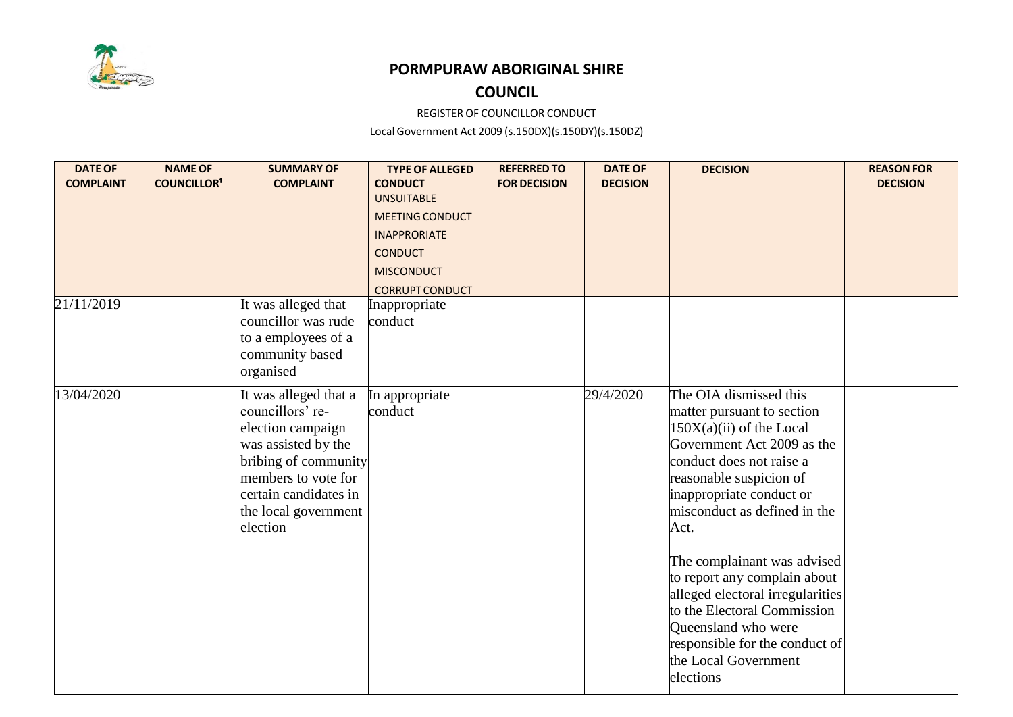

## **PORMPURAW ABORIGINAL SHIRE**

## **COUNCIL**

REGISTER OF COUNCILLOR CONDUCT

Local Government Act 2009 (s.150DX)(s.150DY)(s.150DZ)

| <b>DATE OF</b>   | <b>NAME OF</b>     | <b>SUMMARY OF</b>                                                                                                                                                                                 | <b>TYPE OF ALLEGED</b>                  | <b>REFERRED TO</b>  | <b>DATE OF</b>  | <b>DECISION</b>                                                                                                                                                                                                                                                                                                                                                                                                                                                             | <b>REASON FOR</b> |
|------------------|--------------------|---------------------------------------------------------------------------------------------------------------------------------------------------------------------------------------------------|-----------------------------------------|---------------------|-----------------|-----------------------------------------------------------------------------------------------------------------------------------------------------------------------------------------------------------------------------------------------------------------------------------------------------------------------------------------------------------------------------------------------------------------------------------------------------------------------------|-------------------|
| <b>COMPLAINT</b> | <b>COUNCILLOR1</b> | <b>COMPLAINT</b>                                                                                                                                                                                  | <b>CONDUCT</b><br><b>UNSUITABLE</b>     | <b>FOR DECISION</b> | <b>DECISION</b> |                                                                                                                                                                                                                                                                                                                                                                                                                                                                             | <b>DECISION</b>   |
|                  |                    |                                                                                                                                                                                                   | <b>MEETING CONDUCT</b>                  |                     |                 |                                                                                                                                                                                                                                                                                                                                                                                                                                                                             |                   |
|                  |                    |                                                                                                                                                                                                   | <b>INAPPRORIATE</b>                     |                     |                 |                                                                                                                                                                                                                                                                                                                                                                                                                                                                             |                   |
|                  |                    |                                                                                                                                                                                                   | <b>CONDUCT</b>                          |                     |                 |                                                                                                                                                                                                                                                                                                                                                                                                                                                                             |                   |
|                  |                    |                                                                                                                                                                                                   |                                         |                     |                 |                                                                                                                                                                                                                                                                                                                                                                                                                                                                             |                   |
|                  |                    |                                                                                                                                                                                                   | <b>MISCONDUCT</b>                       |                     |                 |                                                                                                                                                                                                                                                                                                                                                                                                                                                                             |                   |
| 21/11/2019       |                    | It was alleged that                                                                                                                                                                               | <b>CORRUPT CONDUCT</b><br>Inappropriate |                     |                 |                                                                                                                                                                                                                                                                                                                                                                                                                                                                             |                   |
|                  |                    | councillor was rude                                                                                                                                                                               | conduct                                 |                     |                 |                                                                                                                                                                                                                                                                                                                                                                                                                                                                             |                   |
|                  |                    | to a employees of a                                                                                                                                                                               |                                         |                     |                 |                                                                                                                                                                                                                                                                                                                                                                                                                                                                             |                   |
|                  |                    | community based                                                                                                                                                                                   |                                         |                     |                 |                                                                                                                                                                                                                                                                                                                                                                                                                                                                             |                   |
|                  |                    | organised                                                                                                                                                                                         |                                         |                     |                 |                                                                                                                                                                                                                                                                                                                                                                                                                                                                             |                   |
| 13/04/2020       |                    | It was alleged that a<br>councillors' re-<br>election campaign<br>was assisted by the<br>bribing of community<br>members to vote for<br>certain candidates in<br>the local government<br>election | In appropriate<br>conduct               |                     | 29/4/2020       | The OIA dismissed this<br>matter pursuant to section<br>$150X(a)(ii)$ of the Local<br>Government Act 2009 as the<br>conduct does not raise a<br>reasonable suspicion of<br>inappropriate conduct or<br>misconduct as defined in the<br>Act.<br>The complainant was advised<br>to report any complain about<br>alleged electoral irregularities<br>to the Electoral Commission<br>Queensland who were<br>responsible for the conduct of<br>the Local Government<br>elections |                   |